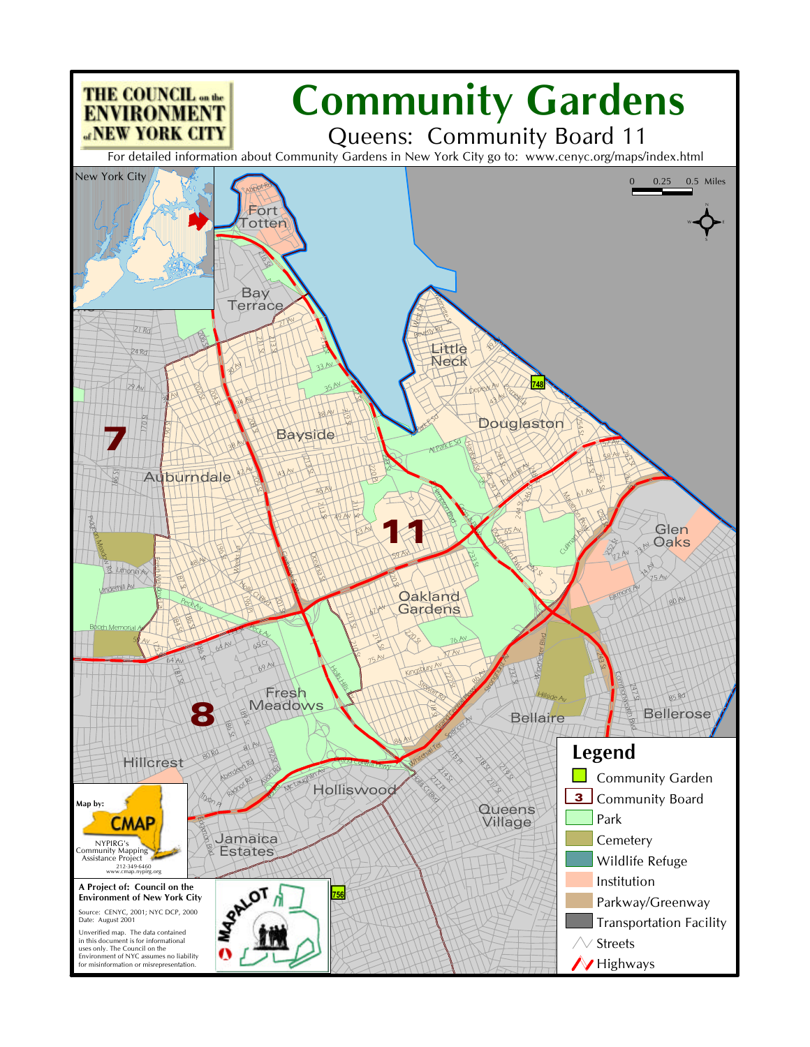